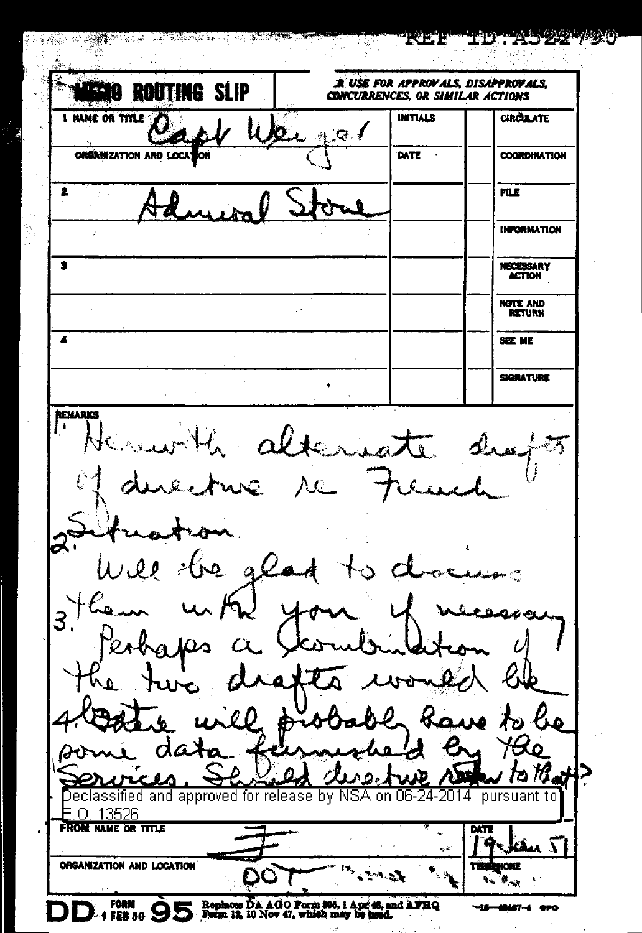| <b>ROUTING SLIP</b>                                                                                                                             | <b>:R. USE FOR APPROVALS, DISAPPROVALS.</b><br>CONCURRENCES, OR SIMILAR ACTIONS |                                                         |                                              |
|-------------------------------------------------------------------------------------------------------------------------------------------------|---------------------------------------------------------------------------------|---------------------------------------------------------|----------------------------------------------|
| <b>1 NAME OR TITLE</b>                                                                                                                          | 2.99                                                                            | <b>INITIALS</b>                                         | <b>CIRCULATE</b>                             |
| ORGANIZATION AND LOCA                                                                                                                           |                                                                                 | DATE                                                    | <b>COORDINATION</b>                          |
| 2                                                                                                                                               |                                                                                 |                                                         | FILE                                         |
|                                                                                                                                                 |                                                                                 |                                                         | <b>INPORMATION</b>                           |
| 3                                                                                                                                               |                                                                                 |                                                         | <b>NECESSARY</b><br><b>ACTION</b>            |
|                                                                                                                                                 |                                                                                 |                                                         | NOTE AND<br><b>RETURN</b>                    |
| 4                                                                                                                                               |                                                                                 |                                                         | SEE ME                                       |
|                                                                                                                                                 |                                                                                 |                                                         | <b>SIGNATURE</b>                             |
| ion.<br>Will the glad to docume                                                                                                                 |                                                                                 | duecture re 7<br>euch                                   |                                              |
| $3$ them<br>them until your y necessarily<br>he two d                                                                                           | hafts i                                                                         | $\neg \mathcal{Q}_\ell$<br>the will probably have to be |                                              |
| data<br>ч<br>Declassified and approved for release by NSA on 06-24-2014<br>13526<br>n<br><b>FROM NAME OR TITLE</b><br>ORGANIZATION AND LOCATION |                                                                                 | $\omega$ , $\omega$                                     | pursuant to<br>PATZ<br><u>ам. 11</u><br>HONE |

Š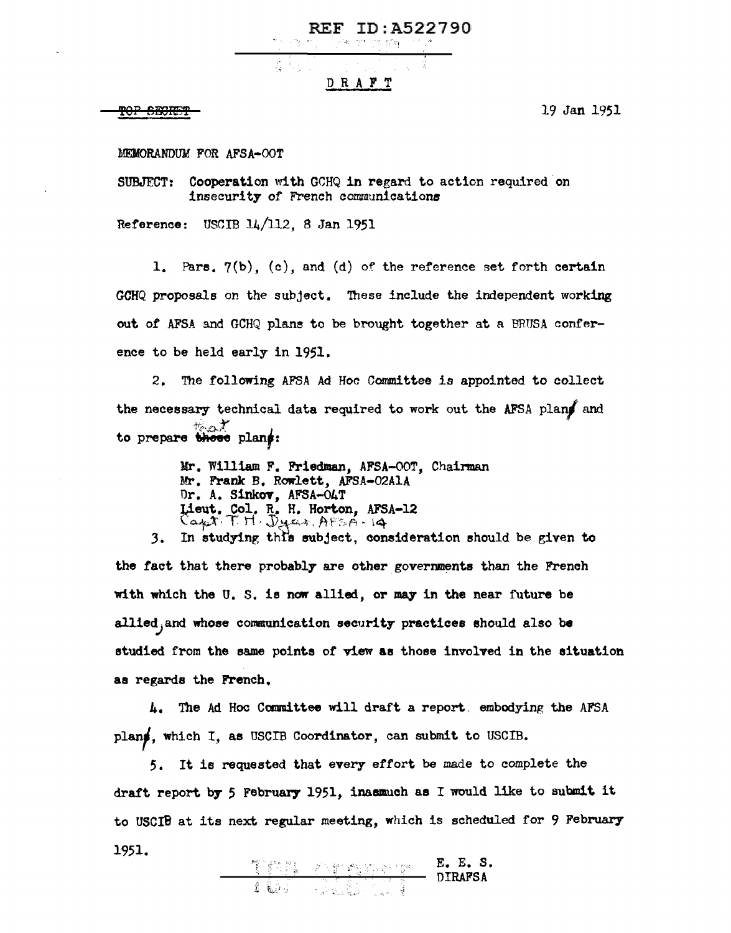$\delta_{\rm c}$  .  $\sim$   $\sigma$  ,  $\delta_{\rm c}$   $\epsilon_{\rm b}$ 控

REF ID:A522790

## DRAFT

TOP SECRET

19 Jan 1951

MEMORANDUM FOR AFSA-OOT

SUBJECT: Cooperation with GCHQ in regard to action required on insecurity of French communications

Reference: USCIB 14/112, 8 Jan 1951

1. Pars.  $7(b)$ , (c), and (d) of the reference set forth certain GCHQ proposals on the subject. 'Ihese include the independent working out of AFSA and GCHQ plane to be brought together at a BRUSA conference to be held early in 1951.

2. The following AFSA Ad Hoc Committee is appointed to collect the necessary technical data required to work out the AFSA plans and *·•i·* ·¥ to prepare those plans:

> Mr. William F. Friedman, AFSA-OOT, Chairman Mr. Frank B. Rowlett, AFSA-02AlA Or. A. Sinkov, AFSA-04T Lieut. Col. R. H. Horton, AFSA-12<br>Capt: T. H. Duran, AFSA-14

3. In studying this subject, consideration should be given to the fact that there probably are other governments than the French with which the  $U$ . S. is now allied, or may in the near future be allied, and whose communication security practices should also be studied from the same points or view **aa** those involved in the situation as regards the French.

4. The Ad Hoc Committee will draft a report, embodying the AFSA planf, which I, as USCIB Coordinator, can submit to USCIB.

5. It ie requested that every effort be made to complete the draft report by 5 February 1951, inaamuch as I would like to submit it to USCIB at its next regular meeting, which is scheduled for 9 February 1951.

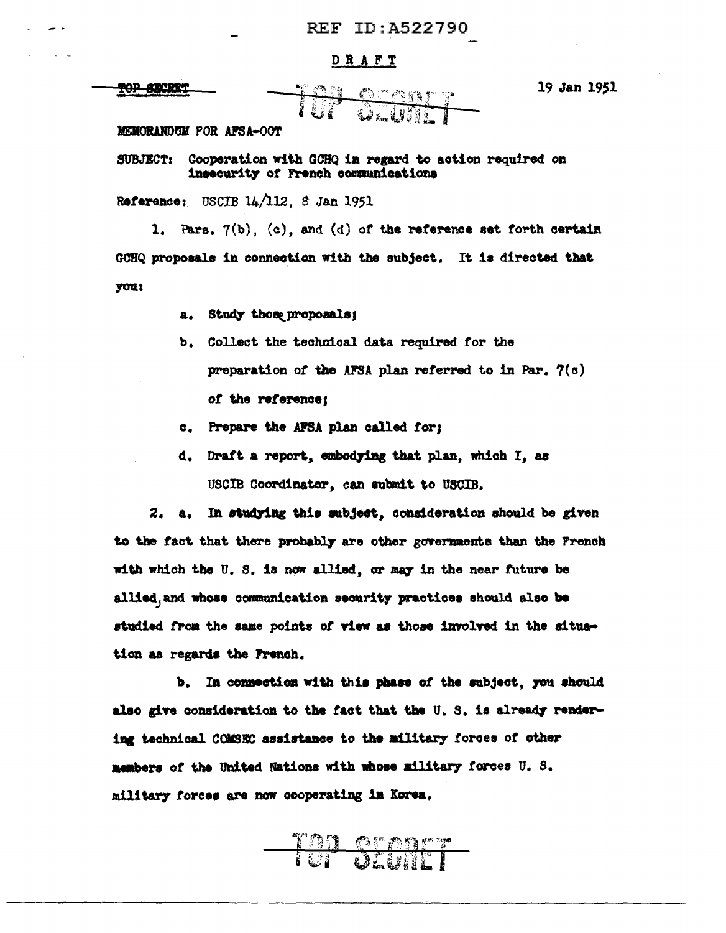## **REF ID: A522790**

## DRAFT

**TOP SECRET** 

III create

19 Jan 1951

MEMORANDUM FOR AFSA-OOT

Cooperation with GCHQ in regard to action required on **SUBJECT:** insecurity of French communications

Reference: USCIB 14/112. 8 Jan 1951

1. Pars.  $7(b)$ , (c), and (d) of the reference set forth certain GCHQ proposals in connection with the subject. It is directed that you:

- Study those proposals; a.
- b. Collect the technical data required for the preparation of the AFSA plan referred to in Par.  $7(c)$ of the reference;
- c. Prepare the AFSA plan called for;
- Draft a report, embodying that plan, which I, as d. USCIB Coordinator, can submit to USCIB.

In studying this subject, consideration should be given 2. a. to the fact that there probably are other governments than the French with which the U.S. is now allied, or may in the near future be allied, and whose communication security practices should also be studied from the same points of view as those involved in the situation as regards the French.

b. In connection with this phase of the subject, you should also give consideration to the fact that the U.S. is already rendering technical COMSEC assistance to the military forces of other members of the United Nations with whose military forces U.S. military forces are now cooperating in Korea.

<u>Ton oronge</u>